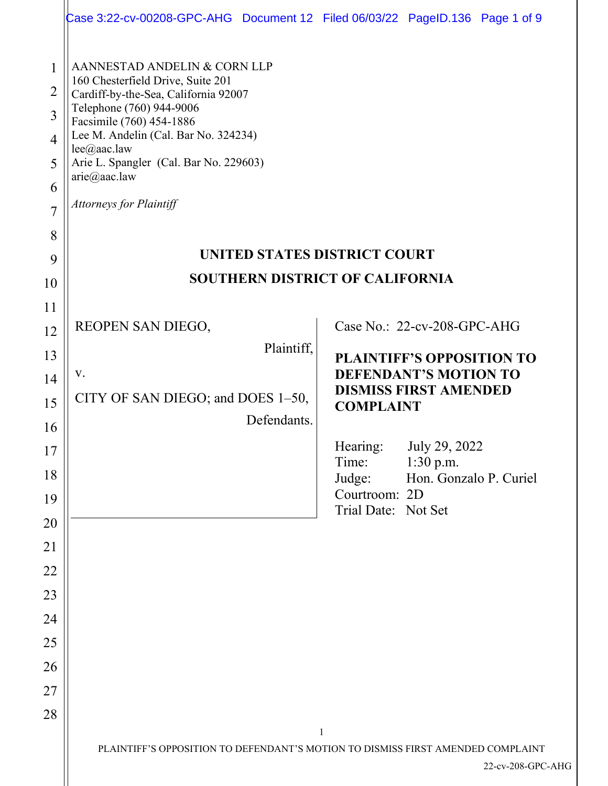|                                                                | Case 3:22-cv-00208-GPC-AHG Document 12 Filed 06/03/22 PageID.136 Page 1 of 9                                                                                                                                                                                                                                         |                                                                                                      |
|----------------------------------------------------------------|----------------------------------------------------------------------------------------------------------------------------------------------------------------------------------------------------------------------------------------------------------------------------------------------------------------------|------------------------------------------------------------------------------------------------------|
| 1<br>2<br>3<br>$\overline{4}$<br>5<br>6<br>$\overline{7}$<br>8 | AANNESTAD ANDELIN & CORN LLP<br>160 Chesterfield Drive, Suite 201<br>Cardiff-by-the-Sea, California 92007<br>Telephone (760) 944-9006<br>Facsimile (760) 454-1886<br>Lee M. Andelin (Cal. Bar No. 324234)<br>lee@aac.law<br>Arie L. Spangler (Cal. Bar No. 229603)<br>arie@aac.law<br><b>Attorneys for Plaintiff</b> |                                                                                                      |
| 9                                                              | UNITED STATES DISTRICT COURT                                                                                                                                                                                                                                                                                         |                                                                                                      |
| 10                                                             | <b>SOUTHERN DISTRICT OF CALIFORNIA</b>                                                                                                                                                                                                                                                                               |                                                                                                      |
| 11                                                             |                                                                                                                                                                                                                                                                                                                      |                                                                                                      |
| 12                                                             | REOPEN SAN DIEGO,                                                                                                                                                                                                                                                                                                    | Case No.: 22-cv-208-GPC-AHG                                                                          |
| 13                                                             | Plaintiff,                                                                                                                                                                                                                                                                                                           | <b>PLAINTIFF'S OPPOSITION TO</b>                                                                     |
| 14                                                             | V.                                                                                                                                                                                                                                                                                                                   | <b>DEFENDANT'S MOTION TO</b>                                                                         |
| 15                                                             | CITY OF SAN DIEGO; and DOES 1-50,                                                                                                                                                                                                                                                                                    | <b>DISMISS FIRST AMENDED</b><br><b>COMPLAINT</b>                                                     |
| 16                                                             | Defendants.                                                                                                                                                                                                                                                                                                          |                                                                                                      |
| 17                                                             |                                                                                                                                                                                                                                                                                                                      | Hearing: July 29, 2022                                                                               |
| 18                                                             |                                                                                                                                                                                                                                                                                                                      | Time:<br>$1:30$ p.m.<br>Hon. Gonzalo P. Curiel<br>Judge:                                             |
| 19                                                             |                                                                                                                                                                                                                                                                                                                      | Courtroom: 2D<br>Trial Date: Not Set                                                                 |
| 20                                                             |                                                                                                                                                                                                                                                                                                                      |                                                                                                      |
| 21                                                             |                                                                                                                                                                                                                                                                                                                      |                                                                                                      |
| 22                                                             |                                                                                                                                                                                                                                                                                                                      |                                                                                                      |
| 23                                                             |                                                                                                                                                                                                                                                                                                                      |                                                                                                      |
| 24                                                             |                                                                                                                                                                                                                                                                                                                      |                                                                                                      |
| 25                                                             |                                                                                                                                                                                                                                                                                                                      |                                                                                                      |
| 26                                                             |                                                                                                                                                                                                                                                                                                                      |                                                                                                      |
| 27                                                             |                                                                                                                                                                                                                                                                                                                      |                                                                                                      |
| 28                                                             |                                                                                                                                                                                                                                                                                                                      | $\mathbf{1}$                                                                                         |
|                                                                |                                                                                                                                                                                                                                                                                                                      | PLAINTIFF'S OPPOSITION TO DEFENDANT'S MOTION TO DISMISS FIRST AMENDED COMPLAINT<br>22-cv-208-GPC-AHG |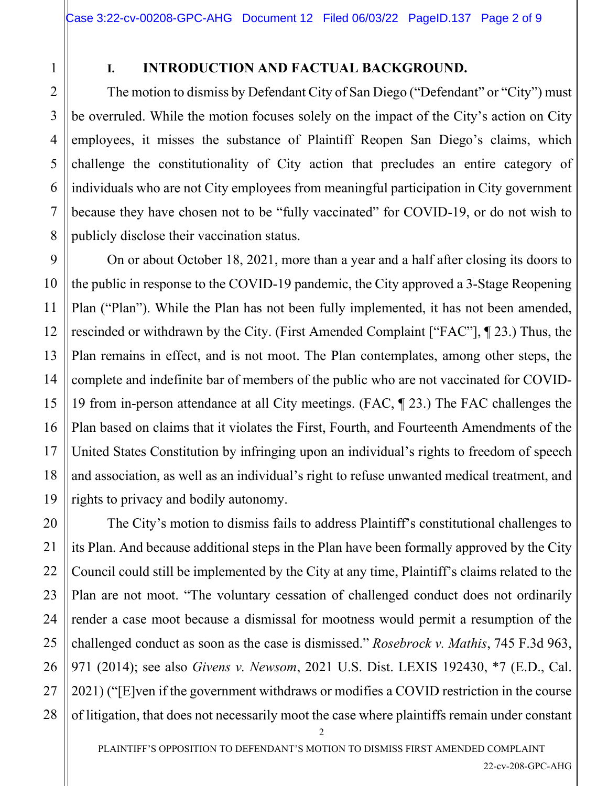1

2

3

4

5

6

7

8

9

10

11

12

13

14

15

16

17

18

19

20

21

22

23

24

25

26

27

28

### **I. INTRODUCTION AND FACTUAL BACKGROUND.**

The motion to dismiss by Defendant City of San Diego ("Defendant" or "City") must be overruled. While the motion focuses solely on the impact of the City's action on City employees, it misses the substance of Plaintiff Reopen San Diego's claims, which challenge the constitutionality of City action that precludes an entire category of individuals who are not City employees from meaningful participation in City government because they have chosen not to be "fully vaccinated" for COVID-19, or do not wish to publicly disclose their vaccination status.

On or about October 18, 2021, more than a year and a half after closing its doors to the public in response to the COVID-19 pandemic, the City approved a 3-Stage Reopening Plan ("Plan"). While the Plan has not been fully implemented, it has not been amended, rescinded or withdrawn by the City. (First Amended Complaint ["FAC"], ¶ 23.) Thus, the Plan remains in effect, and is not moot. The Plan contemplates, among other steps, the complete and indefinite bar of members of the public who are not vaccinated for COVID-19 from in-person attendance at all City meetings. (FAC, ¶ 23.) The FAC challenges the Plan based on claims that it violates the First, Fourth, and Fourteenth Amendments of the United States Constitution by infringing upon an individual's rights to freedom of speech and association, as well as an individual's right to refuse unwanted medical treatment, and rights to privacy and bodily autonomy.

The City's motion to dismiss fails to address Plaintiff's constitutional challenges to its Plan. And because additional steps in the Plan have been formally approved by the City Council could still be implemented by the City at any time, Plaintiff's claims related to the Plan are not moot. "The voluntary cessation of challenged conduct does not ordinarily render a case moot because a dismissal for mootness would permit a resumption of the challenged conduct as soon as the case is dismissed." *Rosebrock v. Mathis*, 745 F.3d 963, 971 (2014); see also *Givens v. Newsom*, 2021 U.S. Dist. LEXIS 192430, \*7 (E.D., Cal. 2021) ("[E]ven if the government withdraws or modifies a COVID restriction in the course of litigation, that does not necessarily moot the case where plaintiffs remain under constant

2

PLAINTIFF'S OPPOSITION TO DEFENDANT'S MOTION TO DISMISS FIRST AMENDED COMPLAINT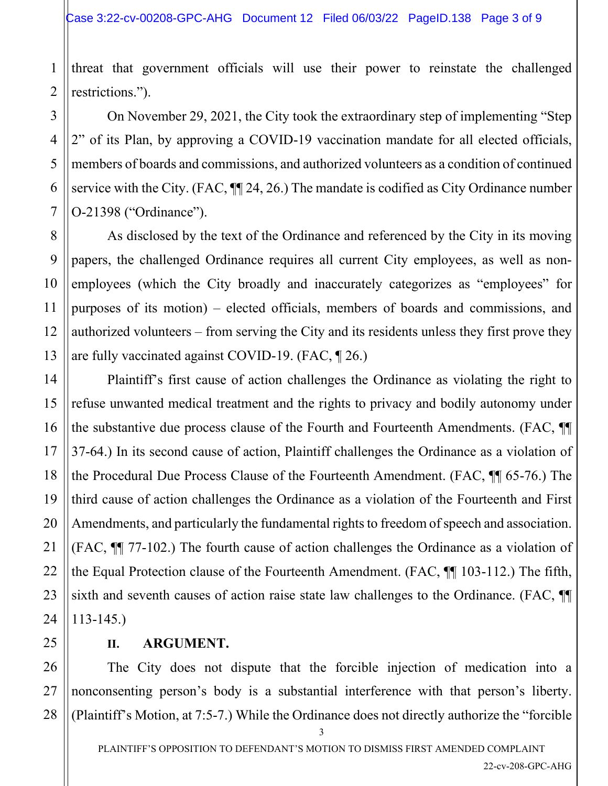1 threat that government officials will use their power to reinstate the challenged restrictions.").

On November 29, 2021, the City took the extraordinary step of implementing "Step 2" of its Plan, by approving a COVID-19 vaccination mandate for all elected officials, members of boards and commissions, and authorized volunteers as a condition of continued service with the City. (FAC,  $\P$ ] 24, 26.) The mandate is codified as City Ordinance number O-21398 ("Ordinance").

As disclosed by the text of the Ordinance and referenced by the City in its moving papers, the challenged Ordinance requires all current City employees, as well as nonemployees (which the City broadly and inaccurately categorizes as "employees" for purposes of its motion) – elected officials, members of boards and commissions, and authorized volunteers – from serving the City and its residents unless they first prove they are fully vaccinated against COVID-19. (FAC, ¶ 26.)

Plaintiff's first cause of action challenges the Ordinance as violating the right to refuse unwanted medical treatment and the rights to privacy and bodily autonomy under the substantive due process clause of the Fourth and Fourteenth Amendments. (FAC, ¶¶ 37-64.) In its second cause of action, Plaintiff challenges the Ordinance as a violation of the Procedural Due Process Clause of the Fourteenth Amendment. (FAC, ¶¶ 65-76.) The third cause of action challenges the Ordinance as a violation of the Fourteenth and First Amendments, and particularly the fundamental rights to freedom of speech and association. (FAC, ¶¶ 77-102.) The fourth cause of action challenges the Ordinance as a violation of the Equal Protection clause of the Fourteenth Amendment. (FAC, ¶¶ 103-112.) The fifth, sixth and seventh causes of action raise state law challenges to the Ordinance. (FAC, ¶¶ 113-145.)

**II. ARGUMENT.**

The City does not dispute that the forcible injection of medication into a nonconsenting person's body is a substantial interference with that person's liberty. (Plaintiff's Motion, at 7:5-7.) While the Ordinance does not directly authorize the "forcible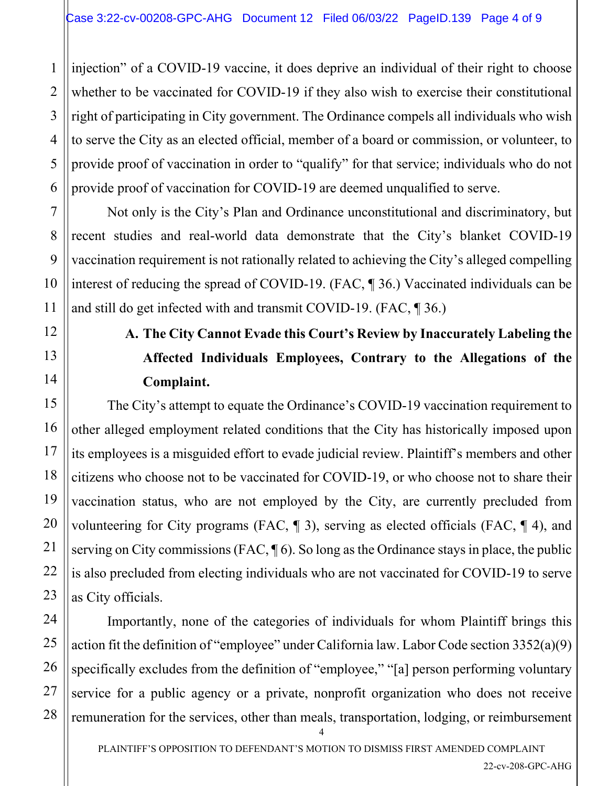injection" of a COVID-19 vaccine, it does deprive an individual of their right to choose whether to be vaccinated for COVID-19 if they also wish to exercise their constitutional right of participating in City government. The Ordinance compels all individuals who wish to serve the City as an elected official, member of a board or commission, or volunteer, to provide proof of vaccination in order to "qualify" for that service; individuals who do not provide proof of vaccination for COVID-19 are deemed unqualified to serve.

Not only is the City's Plan and Ordinance unconstitutional and discriminatory, but recent studies and real-world data demonstrate that the City's blanket COVID-19 vaccination requirement is not rationally related to achieving the City's alleged compelling interest of reducing the spread of COVID-19. (FAC, ¶ 36.) Vaccinated individuals can be and still do get infected with and transmit COVID-19. (FAC, ¶ 36.)

# **A. The City Cannot Evade this Court's Review by Inaccurately Labeling the Affected Individuals Employees, Contrary to the Allegations of the Complaint.**

The City's attempt to equate the Ordinance's COVID-19 vaccination requirement to other alleged employment related conditions that the City has historically imposed upon its employees is a misguided effort to evade judicial review. Plaintiff's members and other citizens who choose not to be vaccinated for COVID-19, or who choose not to share their vaccination status, who are not employed by the City, are currently precluded from volunteering for City programs (FAC, ¶ 3), serving as elected officials (FAC, ¶ 4), and serving on City commissions (FAC,  $\P$  6). So long as the Ordinance stays in place, the public is also precluded from electing individuals who are not vaccinated for COVID-19 to serve as City officials.

4 Importantly, none of the categories of individuals for whom Plaintiff brings this action fit the definition of "employee" under California law. Labor Code section 3352(a)(9) specifically excludes from the definition of "employee," "[a] person performing voluntary service for a public agency or a private, nonprofit organization who does not receive remuneration for the services, other than meals, transportation, lodging, or reimbursement

1

2

PLAINTIFF'S OPPOSITION TO DEFENDANT'S MOTION TO DISMISS FIRST AMENDED COMPLAINT 22-cv-208-GPC-AHG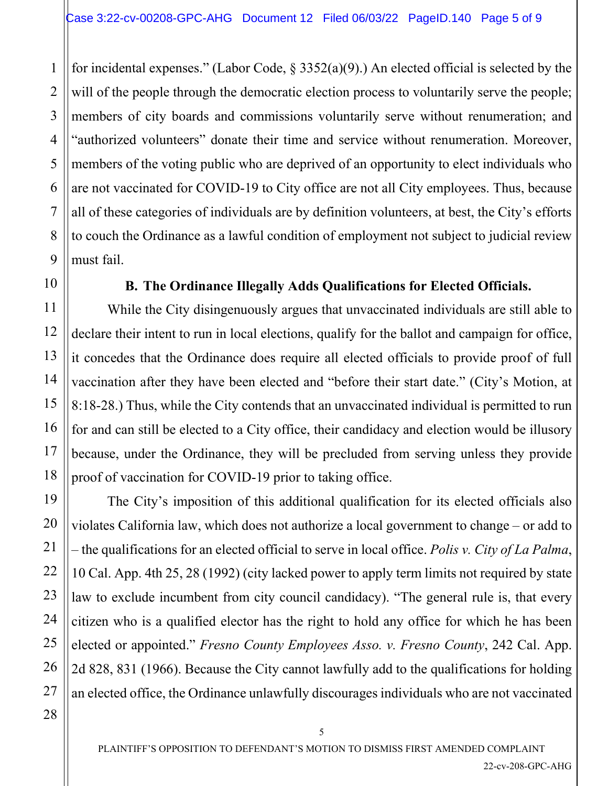4 for incidental expenses." (Labor Code, § 3352(a)(9).) An elected official is selected by the will of the people through the democratic election process to voluntarily serve the people; members of city boards and commissions voluntarily serve without renumeration; and "authorized volunteers" donate their time and service without renumeration. Moreover, members of the voting public who are deprived of an opportunity to elect individuals who are not vaccinated for COVID-19 to City office are not all City employees. Thus, because all of these categories of individuals are by definition volunteers, at best, the City's efforts to couch the Ordinance as a lawful condition of employment not subject to judicial review must fail.

### **B. The Ordinance Illegally Adds Qualifications for Elected Officials.**

While the City disingenuously argues that unvaccinated individuals are still able to declare their intent to run in local elections, qualify for the ballot and campaign for office, it concedes that the Ordinance does require all elected officials to provide proof of full vaccination after they have been elected and "before their start date." (City's Motion, at 8:18-28.) Thus, while the City contends that an unvaccinated individual is permitted to run for and can still be elected to a City office, their candidacy and election would be illusory because, under the Ordinance, they will be precluded from serving unless they provide proof of vaccination for COVID-19 prior to taking office.

The City's imposition of this additional qualification for its elected officials also violates California law, which does not authorize a local government to change – or add to – the qualifications for an elected official to serve in local office. *Polis v. City of La Palma*, 10 Cal. App. 4th 25, 28 (1992) (city lacked power to apply term limits not required by state law to exclude incumbent from city council candidacy). "The general rule is, that every citizen who is a qualified elector has the right to hold any office for which he has been elected or appointed." *Fresno County Employees Asso. v. Fresno County*, 242 Cal. App. 2d 828, 831 (1966). Because the City cannot lawfully add to the qualifications for holding an elected office, the Ordinance unlawfully discourages individuals who are not vaccinated

1

2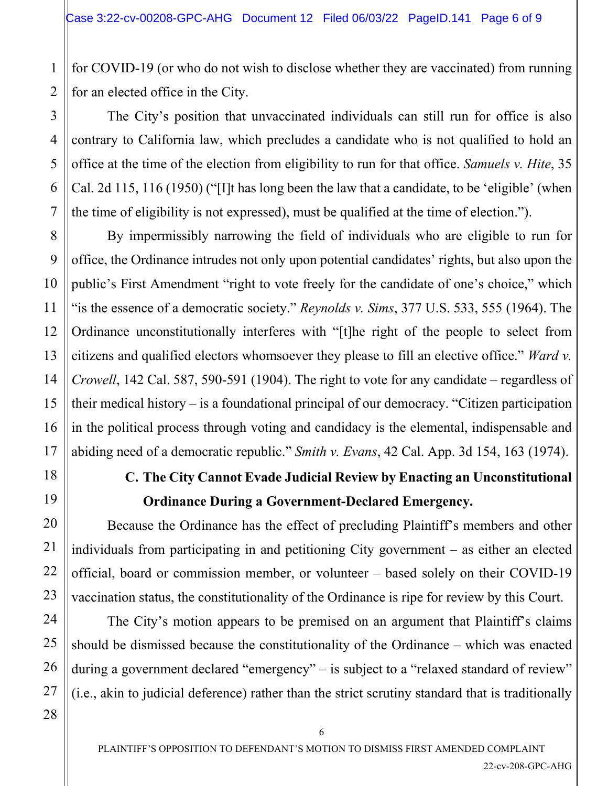2 for COVID-19 (or who do not wish to disclose whether they are vaccinated) from running for an elected office in the City.

The City's position that unvaccinated individuals can still run for office is also contrary to California law, which precludes a candidate who is not qualified to hold an office at the time of the election from eligibility to run for that office. *Samuels v. Hite*, 35 Cal. 2d 115, 116 (1950) ("[I]t has long been the law that a candidate, to be 'eligible' (when the time of eligibility is not expressed), must be qualified at the time of election.").

By impermissibly narrowing the field of individuals who are eligible to run for office, the Ordinance intrudes not only upon potential candidates' rights, but also upon the public's First Amendment "right to vote freely for the candidate of one's choice," which "is the essence of a democratic society." *Reynolds v. Sims*, 377 U.S. 533, 555 (1964). The Ordinance unconstitutionally interferes with "[t]he right of the people to select from citizens and qualified electors whomsoever they please to fill an elective office." *Ward v. Crowell*, 142 Cal. 587, 590-591 (1904). The right to vote for any candidate – regardless of their medical history – is a foundational principal of our democracy. "Citizen participation in the political process through voting and candidacy is the elemental, indispensable and abiding need of a democratic republic." *Smith v. Evans*, 42 Cal. App. 3d 154, 163 (1974).

## **C. The City Cannot Evade Judicial Review by Enacting an Unconstitutional Ordinance During a Government-Declared Emergency.**

Because the Ordinance has the effect of precluding Plaintiff's members and other individuals from participating in and petitioning City government – as either an elected official, board or commission member, or volunteer – based solely on their COVID-19 vaccination status, the constitutionality of the Ordinance is ripe for review by this Court.

The City's motion appears to be premised on an argument that Plaintiff's claims should be dismissed because the constitutionality of the Ordinance – which was enacted during a government declared "emergency" – is subject to a "relaxed standard of review" (i.e., akin to judicial deference) rather than the strict scrutiny standard that is traditionally

1

PLAINTIFF'S OPPOSITION TO DEFENDANT'S MOTION TO DISMISS FIRST AMENDED COMPLAINT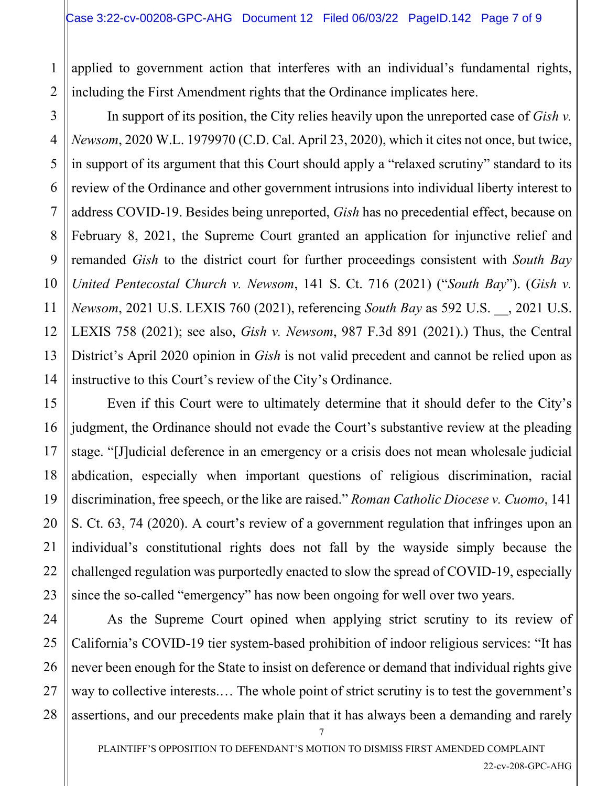1 2 applied to government action that interferes with an individual's fundamental rights, including the First Amendment rights that the Ordinance implicates here.

3

4

5

6

7

8

9

11

12

13

14

15

16

17

18

19

20

21

22

23

10 In support of its position, the City relies heavily upon the unreported case of *Gish v. Newsom*, 2020 W.L. 1979970 (C.D. Cal. April 23, 2020), which it cites not once, but twice, in support of its argument that this Court should apply a "relaxed scrutiny" standard to its review of the Ordinance and other government intrusions into individual liberty interest to address COVID-19. Besides being unreported, *Gish* has no precedential effect, because on February 8, 2021, the Supreme Court granted an application for injunctive relief and remanded *Gish* to the district court for further proceedings consistent with *South Bay United Pentecostal Church v. Newsom*, 141 S. Ct. 716 (2021) ("*South Bay*"). (*Gish v. Newsom*, 2021 U.S. LEXIS 760 (2021), referencing *South Bay* as 592 U.S. \_\_, 2021 U.S. LEXIS 758 (2021); see also, *Gish v. Newsom*, 987 F.3d 891 (2021).) Thus, the Central District's April 2020 opinion in *Gish* is not valid precedent and cannot be relied upon as instructive to this Court's review of the City's Ordinance.

Even if this Court were to ultimately determine that it should defer to the City's judgment, the Ordinance should not evade the Court's substantive review at the pleading stage. "[J]udicial deference in an emergency or a crisis does not mean wholesale judicial abdication, especially when important questions of religious discrimination, racial discrimination, free speech, or the like are raised." *Roman Catholic Diocese v. Cuomo*, 141 S. Ct. 63, 74 (2020). A court's review of a government regulation that infringes upon an individual's constitutional rights does not fall by the wayside simply because the challenged regulation was purportedly enacted to slow the spread of COVID-19, especially since the so-called "emergency" has now been ongoing for well over two years.

24 25 26 27 28 As the Supreme Court opined when applying strict scrutiny to its review of California's COVID-19 tier system-based prohibition of indoor religious services: "It has never been enough for the State to insist on deference or demand that individual rights give way to collective interests.... The whole point of strict scrutiny is to test the government's assertions, and our precedents make plain that it has always been a demanding and rarely

PLAINTIFF'S OPPOSITION TO DEFENDANT'S MOTION TO DISMISS FIRST AMENDED COMPLAINT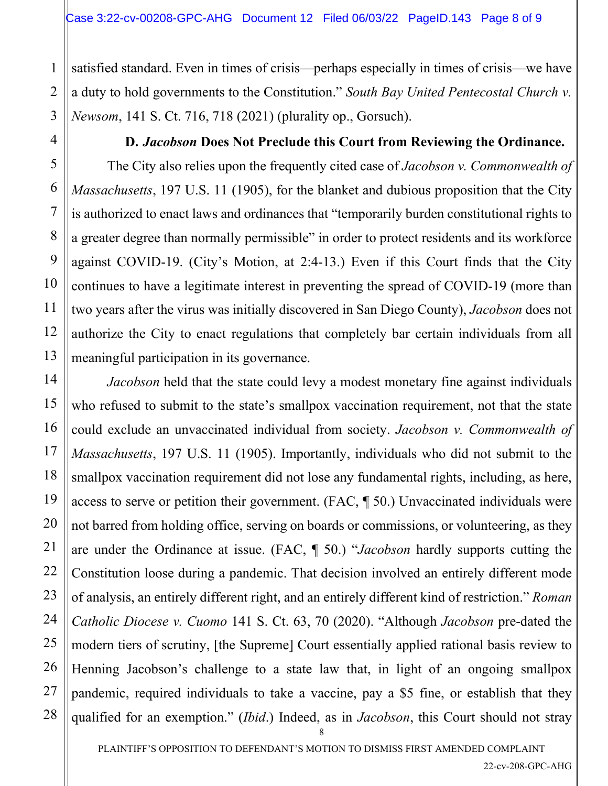satisfied standard. Even in times of crisis—perhaps especially in times of crisis—we have a duty to hold governments to the Constitution." *South Bay United Pentecostal Church v. Newsom*, 141 S. Ct. 716, 718 (2021) (plurality op., Gorsuch).

### **D.** *Jacobson* **Does Not Preclude this Court from Reviewing the Ordinance.**

The City also relies upon the frequently cited case of *Jacobson v. Commonwealth of Massachusetts*, 197 U.S. 11 (1905), for the blanket and dubious proposition that the City is authorized to enact laws and ordinances that "temporarily burden constitutional rights to a greater degree than normally permissible" in order to protect residents and its workforce against COVID-19. (City's Motion, at 2:4-13.) Even if this Court finds that the City continues to have a legitimate interest in preventing the spread of COVID-19 (more than two years after the virus was initially discovered in San Diego County), *Jacobson* does not authorize the City to enact regulations that completely bar certain individuals from all meaningful participation in its governance.

8 *Jacobson* held that the state could levy a modest monetary fine against individuals who refused to submit to the state's smallpox vaccination requirement, not that the state could exclude an unvaccinated individual from society. *Jacobson v. Commonwealth of Massachusetts*, 197 U.S. 11 (1905). Importantly, individuals who did not submit to the smallpox vaccination requirement did not lose any fundamental rights, including, as here, access to serve or petition their government. (FAC, ¶ 50.) Unvaccinated individuals were not barred from holding office, serving on boards or commissions, or volunteering, as they are under the Ordinance at issue. (FAC, ¶ 50.) "*Jacobson* hardly supports cutting the Constitution loose during a pandemic. That decision involved an entirely different mode of analysis, an entirely different right, and an entirely different kind of restriction." *Roman Catholic Diocese v. Cuomo* 141 S. Ct. 63, 70 (2020). "Although *Jacobson* pre-dated the modern tiers of scrutiny, [the Supreme] Court essentially applied rational basis review to Henning Jacobson's challenge to a state law that, in light of an ongoing smallpox pandemic, required individuals to take a vaccine, pay a \$5 fine, or establish that they qualified for an exemption." (*Ibid*.) Indeed, as in *Jacobson*, this Court should not stray

1

2

PLAINTIFF'S OPPOSITION TO DEFENDANT'S MOTION TO DISMISS FIRST AMENDED COMPLAINT